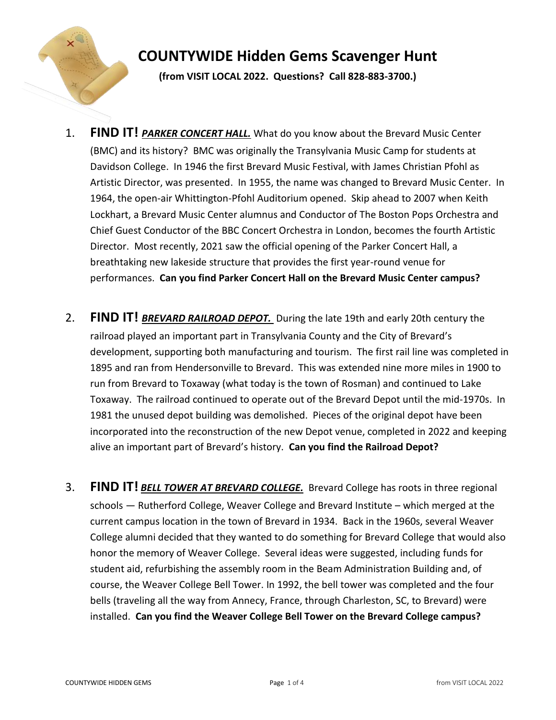

## **COUNTYWIDE Hidden Gems Scavenger Hunt**

**(from VISIT LOCAL 2022. Questions? Call 828-883-3700.)**

- 1. **FIND IT!** *PARKER CONCERT HALL.* What do you know about the Brevard Music Center (BMC) and its history? BMC was originally the Transylvania Music Camp for students at Davidson College. In 1946 the first Brevard Music Festival, with James Christian Pfohl as Artistic Director, was presented. In 1955, the name was changed to Brevard Music Center. In 1964, the open-air Whittington-Pfohl Auditorium opened. Skip ahead to 2007 when Keith Lockhart, a Brevard Music Center alumnus and Conductor of The Boston Pops Orchestra and Chief Guest Conductor of the BBC Concert Orchestra in London, becomes the fourth Artistic Director. Most recently, 2021 saw the official opening of the Parker Concert Hall, a breathtaking new lakeside structure that provides the first year-round venue for performances. **Can you find Parker Concert Hall on the Brevard Music Center campus?**
- 2. **FIND IT!** *BREVARD RAILROAD DEPOT.* During the late 19th and early 20th century the railroad played an important part in Transylvania County and the City of Brevard's development, supporting both manufacturing and tourism. The first rail line was completed in 1895 and ran from Hendersonville to Brevard. This was extended nine more miles in 1900 to run from Brevard to Toxaway (what today is the town of Rosman) and continued to Lake Toxaway. The railroad continued to operate out of the Brevard Depot until the mid-1970s. In 1981 the unused depot building was demolished. Pieces of the original depot have been incorporated into the reconstruction of the new Depot venue, completed in 2022 and keeping alive an important part of Brevard's history. **Can you find the Railroad Depot?**
- 3. **FIND IT!** *BELL TOWER AT BREVARD COLLEGE.* [Brevard College has roots in three regional](https://en.wikipedia.org/wiki/National_Register_of_Historic_Places)  schools — [Rutherford College, Weaver College and Brevard Institute](https://en.wikipedia.org/wiki/National_Register_of_Historic_Places) – which merged at the [current campus location in the town of Brevard in 1934. Back in the 1960s, several Weaver](https://en.wikipedia.org/wiki/National_Register_of_Historic_Places)  [College alumni decided that they wanted to do something for Brevard College that would also](https://en.wikipedia.org/wiki/National_Register_of_Historic_Places)  [honor the memory of Weaver College. Several ideas were suggested, including funds](https://en.wikipedia.org/wiki/National_Register_of_Historic_Places) for [student aid, refurbishing the assembly room in the Beam Administration Building and, of](https://en.wikipedia.org/wiki/National_Register_of_Historic_Places)  [course, the Weaver College Bell Tower. In 1992, the bell](https://en.wikipedia.org/wiki/National_Register_of_Historic_Places) tower was completed and the four [bells \(traveling all the way from Annecy, France, through Charleston, SC, to Brevard\) were](https://en.wikipedia.org/wiki/National_Register_of_Historic_Places)  installed. **[Can you find the Weaver College Bell Tower on the Brevard College campus?](https://en.wikipedia.org/wiki/National_Register_of_Historic_Places)**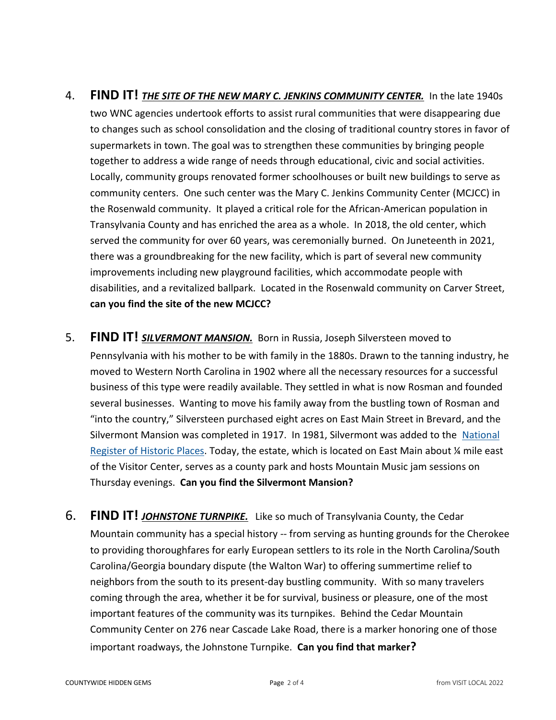## 4. **FIND IT!** *THE SITE OF THE NEW MARY C. JENKINS COMMUNITY CENTER.* In the late 1940s two WNC agencies undertook efforts to assist rural communities that were disappearing due to changes such as school consolidation and the closing of traditional country stores in favor of supermarkets in town. The goal was to strengthen these communities by bringing people together to address a wide range of needs through educational, civic and social activities. Locally, community groups renovated former schoolhouses or built new buildings to serve as community centers. One such center was the Mary C. Jenkins Community Center (MCJCC) in the Rosenwald community. It played a critical role for the African-American population in Transylvania County and has enriched the area as a whole. In 2018, the old center, which served the community for over 60 years, was ceremonially burned. On Juneteenth in 2021, there was a groundbreaking for the new facility, which is part of several new community improvements including new playground facilities, which accommodate people with disabilities, and a revitalized ballpark. Located in the Rosenwald community on Carver Street, **can you find the site of the new MCJCC?**

- 5. **FIND IT!** *SILVERMONT MANSION.* Born in Russia, Joseph Silversteen moved to Pennsylvania with his mother to be with family in the 1880s. Drawn to the tanning industry, he moved to Western North Carolina in 1902 where all the necessary resources for a successful business of this type were readily available. They settled in what is now Rosman and founded several businesses. Wanting to move his family away from the bustling town of Rosman and "into the country," Silversteen purchased eight acres on East Main Street in Brevard, and the Silvermont Mansion was completed in 1917. In 1981, Silvermont was added to the National [Register of Historic Places.](https://en.wikipedia.org/wiki/National_Register_of_Historic_Places) Today, the estate, which is located on East Main about ¼ mile east of the Visitor Center, serves as a county park and hosts Mountain Music jam sessions on Thursday evenings. **Can you find the Silvermont Mansion?**
- 6. **FIND IT!** *[JOHNSTONE TURNPIKE.](https://en.wikipedia.org/wiki/National_Register_of_Historic_Places)*Like so much of Transylvania County, the Cedar Mountain community has a special history -- from serving as hunting grounds for the Cherokee to providing thoroughfares for early European settlers to its role in the North Carolina/South Carolina/Georgia boundary dispute (the Walton War) to offering summertime relief to neighbors from the south to its present-day bustling community. With so many travelers coming through the area, whether it be for survival, business or pleasure, one of the most important features of the community was its turnpikes. Behind the Cedar Mountain Community Center on 276 near Cascade Lake Road, there is a marker honoring one of those important roadways, the Johnstone Turnpike. **Can you find that marker?**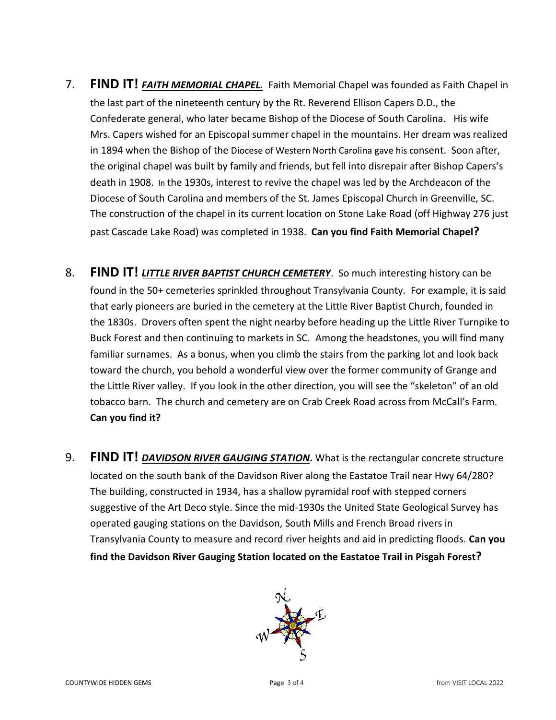- 7. **FIND IT! FAITH MEMORIAL CHAPEL.** Faith Memorial Chapel was founded as Faith Chapel in [the last part of the nineteenth century by the](https://en.wikipedia.org/wiki/National_Register_of_Historic_Places) Rt. Reverend Ellison Capers D.D., the [Confederate general, who later became Bishop of the Diocese of South Carolina. His wife](https://en.wikipedia.org/wiki/National_Register_of_Historic_Places)  [Mrs. Capers wished for an Episcopal summer chapel](https://en.wikipedia.org/wiki/National_Register_of_Historic_Places) in the mountains. Her dream was realized in 1894 when the Bishop of the [Diocese of Western North Carolina gave his co](https://en.wikipedia.org/wiki/National_Register_of_Historic_Places)nsent. Soon after, [the original chapel was built by family and friends, but fell into disrepair after Bishop Capers's](https://en.wikipedia.org/wiki/National_Register_of_Historic_Places)  [death in 1908.](https://en.wikipedia.org/wiki/National_Register_of_Historic_Places) In the 1930s, interest to revive the chapel was led by the Archdeacon of the Diocese of South Carolina and members of the St. James Episcopal Church in Greenville, SC. The construction of the chapel in its current location on Stone Lake Road (off Highway 276 just past Cascade Lake Road) was completed in 1938. **Can you find Faith Memorial Chapel?**
- 8. **FIND IT!** *LITTLE RIVER BAPTIST CHURCH CEMETERY*. So much interesting history can be found in the 50+ cemeteries sprinkled throughout Transylvania County. For example, it is said that early pioneers are buried in the cemetery at the Little River Baptist Church, founded in the 1830s. Drovers often spent the night nearby before heading up the Little River Turnpike to Buck Forest and then continuing to markets in SC. Among the headstones, you will find many familiar surnames. As a bonus, when you climb the stairs from the parking lot and look back toward the church, you behold a wonderful view over the former community of Grange and the Little River valley. If you look in the other direction, you will see the "skeleton" of an old tobacco barn. The church and cemetery are on Crab Creek Road across from McCall's Farm. **Can you find it?**
- 9. **FIND IT!** [DAVIDSON RIVER GAUGING STATION](https://en.wikipedia.org/wiki/National_Register_of_Historic_Places). What is the rectangular concrete structure located on the south bank of the Davidson River along the Eastatoe Trail near Hwy 64/280? The building, constructed in 1934, has a shallow pyramidal roof with stepped corners suggestive of the Art Deco style. Since the mid-1930s the United State Geological Survey has operated gauging stations on the Davidson, South Mills and French Broad rivers in Transylvania County to measure and record river heights and aid in predicting floods. **Can you find the Davidson River Gauging Station located on the Eastatoe Trail in Pisgah Forest?**